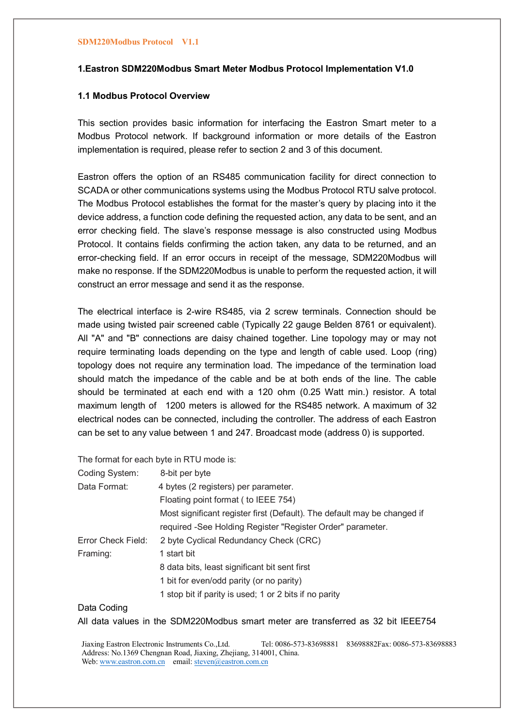## **1.Eastron SDM220Modbus Smart Meter Modbus Protocol Implementation V1.0**

## **1.1 Modbus Protocol Overview**

This section provides basic information for interfacing the Eastron Smart meter to a Modbus Protocol network. If background information or more details of the Eastron implementation is required, please refer to section 2 and 3 of this document.

Eastron offers the option of an RS485 communication facility for direct connection to SCADA or other communications systems using the Modbus Protocol RTU salve protocol. The Modbus Protocol establishes the format for the master's query by placing into it the device address, a function code defining the requested action, any data to be sent, and an error checking field. The slave's response message is also constructed using Modbus Protocol. It contains fields confirming the action taken, any data to be returned, and an error-checking field. If an error occurs in receipt of the message, SDM220Modbus will make no response. If the SDM220Modbus is unable to perform the requested action, it will construct an error message and send it as the response.

The electrical interface is 2-wire RS485, via 2 screw terminals. Connection should be made using twisted pair screened cable (Typically 22 gauge Belden 8761 or equivalent). All "A" and "B" connections are daisy chained together. Line topology may or may not require terminating loads depending on the type and length of cable used. Loop (ring) topology does not require any termination load. The impedance of the termination load should match the impedance of the cable and be at both ends of the line. The cable should be terminated at each end with a 120 ohm (0.25 Watt min.) resistor. A total maximum length of 1200 meters is allowed for the RS485 network. A maximum of 32 electrical nodes can be connected, including the controller. The address of each Eastron can be set to any value between 1 and 247. Broadcast mode (address 0) is supported.

The format for each byte in RTU mode is:

| Coding System:     | 8-bit per byte                                                           |
|--------------------|--------------------------------------------------------------------------|
| Data Format:       | 4 bytes (2 registers) per parameter.                                     |
|                    | Floating point format (to IEEE 754)                                      |
|                    | Most significant register first (Default). The default may be changed if |
|                    | required -See Holding Register "Register Order" parameter.               |
| Error Check Field: | 2 byte Cyclical Redundancy Check (CRC)                                   |
| Framing:           | 1 start bit                                                              |
|                    | 8 data bits, least significant bit sent first                            |
|                    | 1 bit for even/odd parity (or no parity)                                 |
|                    | 1 stop bit if parity is used; 1 or 2 bits if no parity                   |

## Data Coding

All data values in the SDM220Modbus smart meter are transferred as 32 bit IEEE754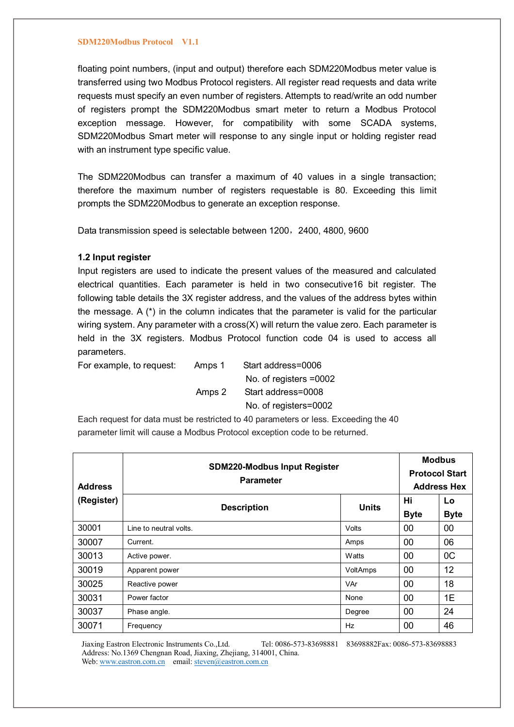floating point numbers, (input and output) therefore each SDM220Modbus meter value is transferred using two Modbus Protocol registers. All register read requests and data write requests must specify an even number of registers. Attempts to read/write an odd number of registers prompt the SDM220Modbus smart meter to return a Modbus Protocol exception message. However, for compatibility with some SCADA systems, SDM220Modbus Smart meter will response to any single input or holding register read with an instrument type specific value.

The SDM220Modbus can transfer a maximum of 40 values in a single transaction; therefore the maximum number of registers requestable is 80. Exceeding this limit prompts the SDM220Modbus to generate an exception response.

Data transmission speed is selectable between 1200, 2400, 4800, 9600

## **1.2 Input register**

Input registers are used to indicate the present values of the measured and calculated electrical quantities. Each parameter is held in two consecutive16 bit register. The following table details the 3X register address, and the values of the address bytes within the message. A (\*) in the column indicates that the parameter is valid for the particular wiring system. Any parameter with a cross(X) will return the value zero. Each parameter is held in the 3X registers. Modbus Protocol function code 04 is used to access all parameters.

For example, to request: Amps 1 Start address=0006

 No. of registers =0002 Amps 2 Start address=0008 No. of registers=0002

Each request for data must be restricted to 40 parameters or less. Exceeding the 40 parameter limit will cause a Modbus Protocol exception code to be returned.

| <b>Address</b> | <b>SDM220-Modbus Input Register</b><br><b>Parameter</b> | <b>Modbus</b><br><b>Protocol Start</b><br><b>Address Hex</b> |                   |                   |
|----------------|---------------------------------------------------------|--------------------------------------------------------------|-------------------|-------------------|
| (Register)     | <b>Description</b>                                      | <b>Units</b>                                                 | Hi<br><b>Byte</b> | Lo<br><b>Byte</b> |
| 30001          | Line to neutral volts.                                  | Volts                                                        | 00                | 00                |
| 30007          | Current.                                                | Amps                                                         | 00                | 06                |
| 30013          | Active power.                                           | <b>Watts</b>                                                 | 00                | 0C                |
| 30019          | Apparent power                                          | VoltAmps                                                     | 00                | 12                |
| 30025          | Reactive power                                          | VAr                                                          | 00                | 18                |
| 30031          | Power factor                                            | None                                                         | 00                | 1E                |
| 30037          | Phase angle.                                            | Degree                                                       | 00                | 24                |
| 30071          | Frequency                                               | Hz                                                           | 00                | 46                |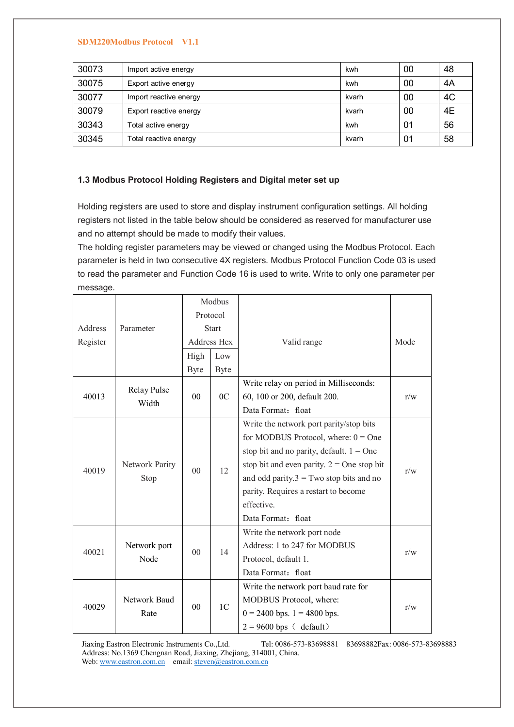| 30073 | Import active energy   | kwh   | 00 | 48 |
|-------|------------------------|-------|----|----|
| 30075 | Export active energy   | kwh   | 00 | 4A |
| 30077 | Import reactive energy | kvarh | 00 | 4C |
| 30079 | Export reactive energy | kvarh | 00 | 4E |
| 30343 | Total active energy    | kwh   | 01 | 56 |
| 30345 | Total reactive energy  | kvarh | 01 | 58 |

## **1.3 Modbus Protocol Holding Registers and Digital meter set up**

Holding registers are used to store and display instrument configuration settings. All holding registers not listed in the table below should be considered as reserved for manufacturer use and no attempt should be made to modify their values.

The holding register parameters may be viewed or changed using the Modbus Protocol. Each parameter is held in two consecutive 4X registers. Modbus Protocol Function Code 03 is used to read the parameter and Function Code 16 is used to write. Write to only one parameter per message.

|          |                |                | Modbus         |                                              |      |  |
|----------|----------------|----------------|----------------|----------------------------------------------|------|--|
|          |                | Protocol       |                |                                              |      |  |
| Address  | Parameter      |                | <b>Start</b>   |                                              |      |  |
| Register |                |                | Address Hex    | Valid range                                  | Mode |  |
|          |                | High           | Low            |                                              |      |  |
|          |                | Byte           | Byte           |                                              |      |  |
|          | Relay Pulse    |                |                | Write relay on period in Milliseconds:       |      |  |
| 40013    | Width          | $00\,$         | 0 <sup>C</sup> | 60, 100 or 200, default 200.                 | r/w  |  |
|          |                |                |                | Data Format: float                           |      |  |
|          |                |                |                | Write the network port parity/stop bits      |      |  |
|          |                |                |                | for MODBUS Protocol, where: $0 = One$        |      |  |
|          | Network Parity |                | 12             | stop bit and no parity, default. $1 = One$   |      |  |
| 40019    |                | 00             |                | stop bit and even parity. $2 =$ One stop bit | r/w  |  |
| Stop     |                |                |                | and odd parity. $3 = Two stop bits$ and no   |      |  |
|          |                |                |                | parity. Requires a restart to become         |      |  |
|          |                |                |                | effective.                                   |      |  |
|          |                |                |                | Data Format: float                           |      |  |
|          |                |                |                | Write the network port node                  |      |  |
| 40021    | Network port   | 0 <sup>0</sup> | 14             | Address: 1 to 247 for MODBUS                 | r/w  |  |
|          | Node           |                |                | Protocol, default 1.                         |      |  |
|          |                |                |                | Data Format: float                           |      |  |
|          |                |                |                | Write the network port baud rate for         |      |  |
|          | Network Baud   |                |                | MODBUS Protocol, where:                      | r/w  |  |
| 40029    | Rate           | 0 <sub>0</sub> | 1 <sup>C</sup> | $0 = 2400$ bps. $1 = 4800$ bps.              |      |  |
|          |                |                |                | $2 = 9600$ bps (default)                     |      |  |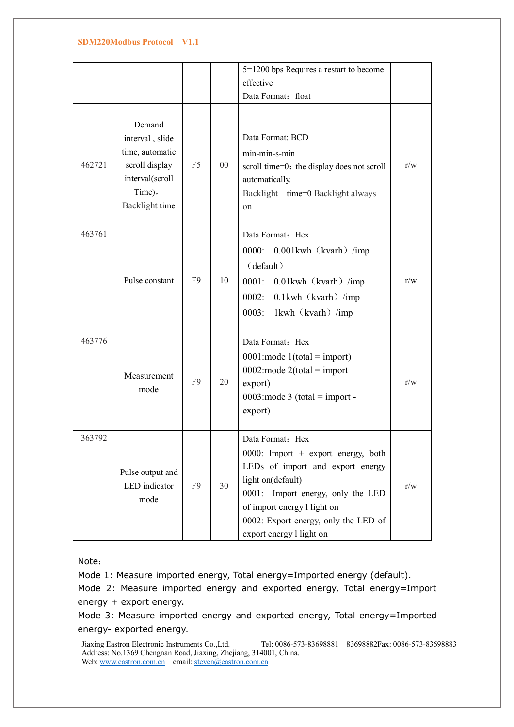|        |                                                                                                               |                |                | 5=1200 bps Requires a restart to become                                                                                                                                                                                                                 |     |
|--------|---------------------------------------------------------------------------------------------------------------|----------------|----------------|---------------------------------------------------------------------------------------------------------------------------------------------------------------------------------------------------------------------------------------------------------|-----|
|        |                                                                                                               |                |                | effective                                                                                                                                                                                                                                               |     |
|        |                                                                                                               |                |                | Data Format: float                                                                                                                                                                                                                                      |     |
| 462721 | Demand<br>interval, slide<br>time, automatic<br>scroll display<br>interval(scroll<br>Time),<br>Backlight time | F <sub>5</sub> | 0 <sup>0</sup> | Data Format: BCD<br>$min-min-s-min$<br>scroll time=0: the display does not scroll<br>automatically.<br>Backlight time=0 Backlight always<br>on                                                                                                          | r/w |
| 463761 | Pulse constant                                                                                                | F <sub>9</sub> | 10             | Data Format: Hex<br>0000: 0.001kwh (kvarh) /imp<br>(default)<br>$0001$ : $0.01$ kwh (kvarh) /imp<br>0002: 0.1kwh (kvarh) /imp<br>0003:<br>1kwh (kvarh) /imp                                                                                             | r/w |
| 463776 | Measurement<br>mode                                                                                           | F <sub>9</sub> | 20             | Data Format: Hex<br>0001: mode $1$ (total = import)<br>0002: mode $2(total = import +$<br>export)<br>0003: mode 3 (total = import -<br>export)                                                                                                          | r/w |
| 363792 | Pulse output and<br>LED indicator<br>mode                                                                     | F9             | 30             | Data Format: Hex<br>0000: Import + export energy, both<br>LEDs of import and export energy<br>light on(default)<br>0001: Import energy, only the LED<br>of import energy l light on<br>0002: Export energy, only the LED of<br>export energy l light on | r/w |

Note:

Mode 1: Measure imported energy, Total energy=Imported energy (default).

Mode 2: Measure imported energy and exported energy, Total energy=Import energy + export energy.

Mode 3: Measure imported energy and exported energy, Total energy=Imported energy- exported energy.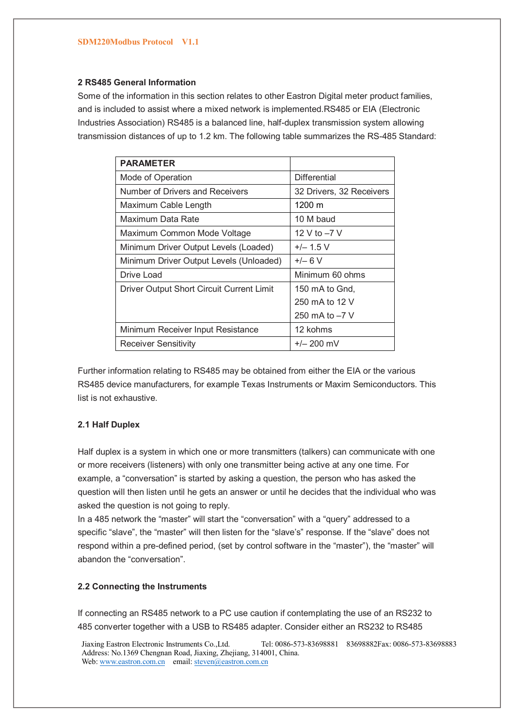### **2 RS485 General Information**

Some of the information in this section relates to other Eastron Digital meter product families, and is included to assist where a mixed network is implemented.RS485 or EIA (Electronic Industries Association) RS485 is a balanced line, half-duplex transmission system allowing transmission distances of up to 1.2 km. The following table summarizes the RS-485 Standard:

| <b>PARAMETER</b>                          |                          |
|-------------------------------------------|--------------------------|
| Mode of Operation                         | Differential             |
| Number of Drivers and Receivers           | 32 Drivers, 32 Receivers |
| Maximum Cable Length                      | 1200 m                   |
| Maximum Data Rate                         | 10 M baud                |
| Maximum Common Mode Voltage               | 12 V to -7 V             |
| Minimum Driver Output Levels (Loaded)     | $+/- 1.5 V$              |
| Minimum Driver Output Levels (Unloaded)   | $+/- 6 V$                |
| Drive Load                                | Minimum 60 ohms          |
| Driver Output Short Circuit Current Limit | 150 mA to Gnd.           |
|                                           | 250 mA to 12 V           |
|                                           | 250 mA to $-7$ V         |
| Minimum Receiver Input Resistance         | 12 kohms                 |
| Receiver Sensitivity                      | $+/- 200$ mV             |

Further information relating to RS485 may be obtained from either the EIA or the various RS485 device manufacturers, for example Texas Instruments or Maxim Semiconductors. This list is not exhaustive.

## **2.1 Half Duplex**

Half duplex is a system in which one or more transmitters (talkers) can communicate with one or more receivers (listeners) with only one transmitter being active at any one time. For example, a "conversation" is started by asking a question, the person who has asked the question will then listen until he gets an answer or until he decides that the individual who was asked the question is not going to reply.

In a 485 network the "master" will start the "conversation" with a "query" addressed to a specific "slave", the "master" will then listen for the "slave's" response. If the "slave" does not respond within a pre-defined period, (set by control software in the "master"), the "master" will abandon the "conversation".

## **2.2 Connecting the Instruments**

If connecting an RS485 network to a PC use caution if contemplating the use of an RS232 to 485 converter together with a USB to RS485 adapter. Consider either an RS232 to RS485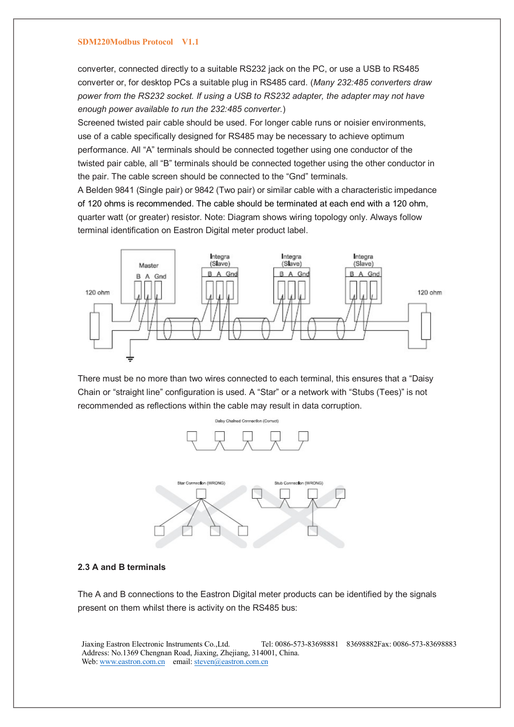converter, connected directly to a suitable RS232 jack on the PC, or use a USB to RS485 converter or, for desktop PCs a suitable plug in RS485 card. (*Many 232:485 converters draw power from the RS232 socket. If using a USB to RS232 adapter, the adapter may not have enough power available to run the 232:485 converter.*)

Screened twisted pair cable should be used. For longer cable runs or noisier environments, use of a cable specifically designed for RS485 may be necessary to achieve optimum performance. All "A" terminals should be connected together using one conductor of the twisted pair cable, all "B" terminals should be connected together using the other conductor in the pair. The cable screen should be connected to the "Gnd" terminals.

A Belden 9841 (Single pair) or 9842 (Two pair) or similar cable with a characteristic impedance of 120 ohms is recommended. The cable should be terminated at each end with a 120 ohm, quarter watt (or greater) resistor. Note: Diagram shows wiring topology only. Always follow terminal identification on Eastron Digital meter product label.



There must be no more than two wires connected to each terminal, this ensures that a "Daisy Chain or "straight line" configuration is used. A "Star" or a network with "Stubs (Tees)" is not recommended as reflections within the cable may result in data corruption.





### **2.3 A and B terminals**

The A and B connections to the Eastron Digital meter products can be identified by the signals present on them whilst there is activity on the RS485 bus: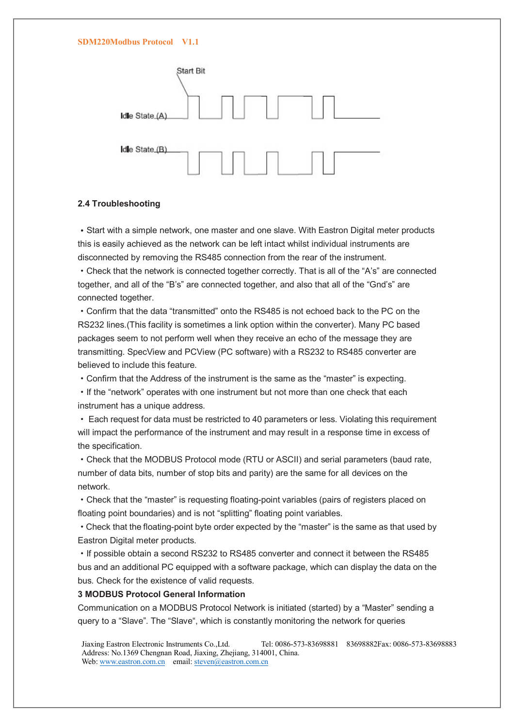

### **2.4 Troubleshooting**

**·**Start with a simple network, one master and one slave. With Eastron Digital meter products this is easily achieved as the network can be left intact whilst individual instruments are disconnected by removing the RS485 connection from the rear of the instrument.

·Check that the network is connected together correctly. That is all of the "A's" are connected together, and all of the "B's" are connected together, and also that all of the "Gnd's" are connected together.

·Confirm that the data "transmitted" onto the RS485 is not echoed back to the PC on the RS232 lines.(This facility is sometimes a link option within the converter). Many PC based packages seem to not perform well when they receive an echo of the message they are transmitting. SpecView and PCView (PC software) with a RS232 to RS485 converter are believed to include this feature.

·Confirm that the Address of the instrument is the same as the "master" is expecting.

·If the "network" operates with one instrument but not more than one check that each instrument has a unique address.

· Each request for data must be restricted to 40 parameters or less. Violating this requirement will impact the performance of the instrument and may result in a response time in excess of the specification.

·Check that the MODBUS Protocol mode (RTU or ASCII) and serial parameters (baud rate, number of data bits, number of stop bits and parity) are the same for all devices on the network.

·Check that the "master" is requesting floating-point variables (pairs of registers placed on floating point boundaries) and is not "splitting" floating point variables.

·Check that the floating-point byte order expected by the "master" is the same as that used by Eastron Digital meter products.

·If possible obtain a second RS232 to RS485 converter and connect it between the RS485 bus and an additional PC equipped with a software package, which can display the data on the bus. Check for the existence of valid requests.

### **3 MODBUS Protocol General Information**

Communication on a MODBUS Protocol Network is initiated (started) by a "Master" sending a query to a "Slave". The "Slave", which is constantly monitoring the network for queries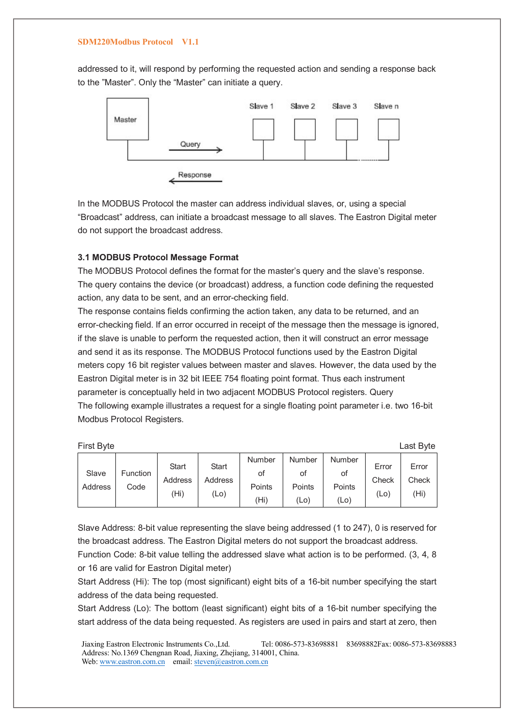addressed to it, will respond by performing the requested action and sending a response back to the "Master". Only the "Master" can initiate a query.



In the MODBUS Protocol the master can address individual slaves, or, using a special "Broadcast" address, can initiate a broadcast message to all slaves. The Eastron Digital meter do not support the broadcast address.

### **3.1 MODBUS Protocol Message Format**

The MODBUS Protocol defines the format for the master's query and the slave's response. The query contains the device (or broadcast) address, a function code defining the requested action, any data to be sent, and an error-checking field.

The response contains fields confirming the action taken, any data to be returned, and an error-checking field. If an error occurred in receipt of the message then the message is ignored, if the slave is unable to perform the requested action, then it will construct an error message and send it as its response. The MODBUS Protocol functions used by the Eastron Digital meters copy 16 bit register values between master and slaves. However, the data used by the Eastron Digital meter is in 32 bit IEEE 754 floating point format. Thus each instrument parameter is conceptually held in two adjacent MODBUS Protocol registers. Query The following example illustrates a request for a single floating point parameter i.e. two 16-bit Modbus Protocol Registers.

| <b>First Byte</b> |                  |                                 |                                 |                                |                                |                                |                                     | Last Byte                           |
|-------------------|------------------|---------------------------------|---------------------------------|--------------------------------|--------------------------------|--------------------------------|-------------------------------------|-------------------------------------|
| Slave<br>Address  | Function<br>Code | <b>Start</b><br>Address<br>(Hi) | <b>Start</b><br>Address<br>(Lo) | Number<br>οf<br>Points<br>(Hi) | Number<br>οt<br>Points<br>(Lo) | Number<br>οf<br>Points<br>(Lo) | Error<br>Check<br>(L <sub>O</sub> ) | Error<br>Check<br>(H <sub>i</sub> ) |

Slave Address: 8-bit value representing the slave being addressed (1 to 247), 0 is reserved for the broadcast address. The Eastron Digital meters do not support the broadcast address.

Function Code: 8-bit value telling the addressed slave what action is to be performed. (3, 4, 8 or 16 are valid for Eastron Digital meter)

Start Address (Hi): The top (most significant) eight bits of a 16-bit number specifying the start address of the data being requested.

Start Address (Lo): The bottom (least significant) eight bits of a 16-bit number specifying the start address of the data being requested. As registers are used in pairs and start at zero, then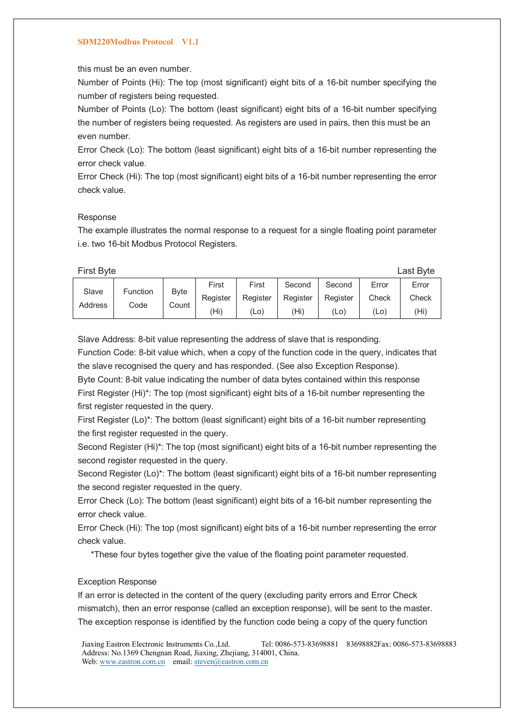this must be an even number.

Number of Points (Hi): The top (most significant) eight bits of a 16-bit number specifying the number of registers being requested.

Number of Points (Lo): The bottom (least significant) eight bits of a 16-bit number specifying the number of registers being requested. As registers are used in pairs, then this must be an even number.

Error Check (Lo): The bottom (least significant) eight bits of a 16-bit number representing the error check value.

Error Check (Hi): The top (most significant) eight bits of a 16-bit number representing the error check value.

#### Response

The example illustrates the normal response to a request for a single floating point parameter i.e. two 16-bit Modbus Protocol Registers.

First Byte Last Byte

| Slave   | Function |                      | First    | First    | Second   | Second   | Error             | Error |
|---------|----------|----------------------|----------|----------|----------|----------|-------------------|-------|
|         |          | <b>Byte</b><br>Count | Register | Register | Register | Register | Check             | Check |
| Address | Code     |                      | (Hi)     | (Lo)     | (Hi)     | (Lo)     | (L <sub>O</sub> ) | (Hi)  |

Slave Address: 8-bit value representing the address of slave that is responding.

Function Code: 8-bit value which, when a copy of the function code in the query, indicates that the slave recognised the query and has responded. (See also Exception Response).

Byte Count: 8-bit value indicating the number of data bytes contained within this response First Register (Hi)\*: The top (most significant) eight bits of a 16-bit number representing the first register requested in the query.

First Register (Lo)\*: The bottom (least significant) eight bits of a 16-bit number representing the first register requested in the query.

Second Register (Hi)\*: The top (most significant) eight bits of a 16-bit number representing the second register requested in the query.

Second Register (Lo)\*: The bottom (least significant) eight bits of a 16-bit number representing the second register requested in the query.

Error Check (Lo): The bottom (least significant) eight bits of a 16-bit number representing the error check value.

Error Check (Hi): The top (most significant) eight bits of a 16-bit number representing the error check value.

\*These four bytes together give the value of the floating point parameter requested.

### Exception Response

If an error is detected in the content of the query (excluding parity errors and Error Check mismatch), then an error response (called an exception response), will be sent to the master. The exception response is identified by the function code being a copy of the query function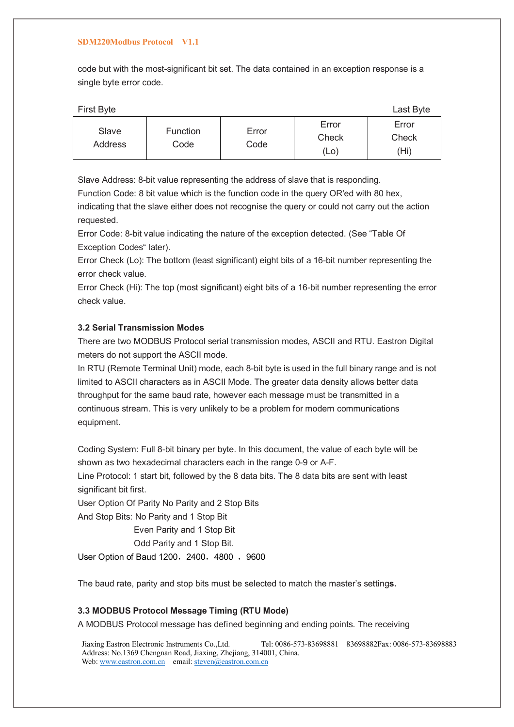code but with the most-significant bit set. The data contained in an exception response is a single byte error code.

| First Byte       |                  |               |                        | Last Byte              |
|------------------|------------------|---------------|------------------------|------------------------|
| Slave<br>Address | Function<br>Code | Error<br>Code | Error<br>Check<br>(Lo) | Error<br>Check<br>(Hi) |

Slave Address: 8-bit value representing the address of slave that is responding.

Function Code: 8 bit value which is the function code in the query OR'ed with 80 hex, indicating that the slave either does not recognise the query or could not carry out the action requested.

Error Code: 8-bit value indicating the nature of the exception detected. (See "Table Of Exception Codes" later).

Error Check (Lo): The bottom (least significant) eight bits of a 16-bit number representing the error check value.

Error Check (Hi): The top (most significant) eight bits of a 16-bit number representing the error check value.

## **3.2 Serial Transmission Modes**

There are two MODBUS Protocol serial transmission modes, ASCII and RTU. Eastron Digital meters do not support the ASCII mode.

In RTU (Remote Terminal Unit) mode, each 8-bit byte is used in the full binary range and is not limited to ASCII characters as in ASCII Mode. The greater data density allows better data throughput for the same baud rate, however each message must be transmitted in a continuous stream. This is very unlikely to be a problem for modern communications equipment.

Coding System: Full 8-bit binary per byte. In this document, the value of each byte will be shown as two hexadecimal characters each in the range 0-9 or A-F.

Line Protocol: 1 start bit, followed by the 8 data bits. The 8 data bits are sent with least significant bit first.

User Option Of Parity No Parity and 2 Stop Bits

And Stop Bits: No Parity and 1 Stop Bit

Even Parity and 1 Stop Bit

Odd Parity and 1 Stop Bit.

User Option of Baud 1200, 2400, 4800, 9600

The baud rate, parity and stop bits must be selected to match the master's setting**s.**

## **3.3 MODBUS Protocol Message Timing (RTU Mode)**

A MODBUS Protocol message has defined beginning and ending points. The receiving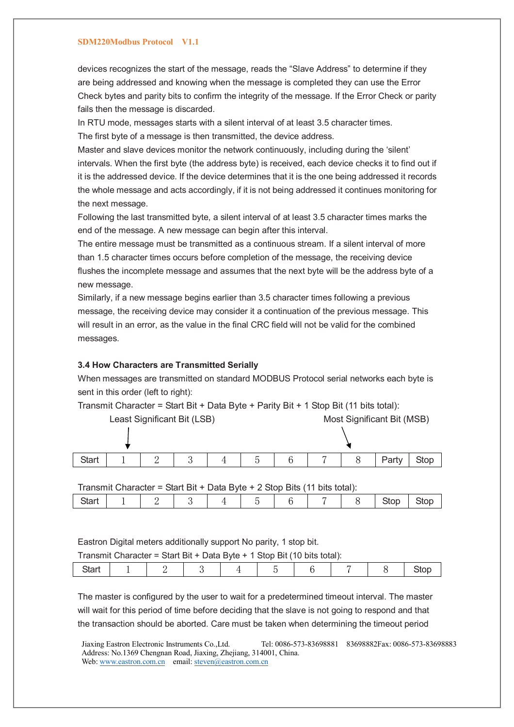devices recognizes the start of the message, reads the "Slave Address" to determine if they are being addressed and knowing when the message is completed they can use the Error Check bytes and parity bits to confirm the integrity of the message. If the Error Check or parity fails then the message is discarded.

In RTU mode, messages starts with a silent interval of at least 3.5 character times.

The first byte of a message is then transmitted, the device address.

Master and slave devices monitor the network continuously, including during the 'silent' intervals. When the first byte (the address byte) is received, each device checks it to find out if it is the addressed device. If the device determines that it is the one being addressed it records the whole message and acts accordingly, if it is not being addressed it continues monitoring for the next message.

Following the last transmitted byte, a silent interval of at least 3.5 character times marks the end of the message. A new message can begin after this interval.

The entire message must be transmitted as a continuous stream. If a silent interval of more than 1.5 character times occurs before completion of the message, the receiving device flushes the incomplete message and assumes that the next byte will be the address byte of a new message.

Similarly, if a new message begins earlier than 3.5 character times following a previous message, the receiving device may consider it a continuation of the previous message. This will result in an error, as the value in the final CRC field will not be valid for the combined messages.

### **3.4 How Characters are Transmitted Serially**

When messages are transmitted on standard MODBUS Protocol serial networks each byte is sent in this order (left to right):



Transmit Character = Start Bit + Data Byte + Parity Bit + 1 Stop Bit (11 bits total):

Transmit Character = Start Bit + Data Byte + 2 Stop Bits (11 bits total):

| Start | - | _ | - | $\overline{\phantom{0}}$ |  | ັ | stop | $\sim$<br>Stop |
|-------|---|---|---|--------------------------|--|---|------|----------------|
|       |   |   |   |                          |  |   |      |                |

Eastron Digital meters additionally support No parity, 1 stop bit.

Transmit Character = Start Bit + Data Byte + 1 Stop Bit (10 bits total):

|--|--|--|--|--|--|--|--|--|--|--|

The master is configured by the user to wait for a predetermined timeout interval. The master will wait for this period of time before deciding that the slave is not going to respond and that the transaction should be aborted. Care must be taken when determining the timeout period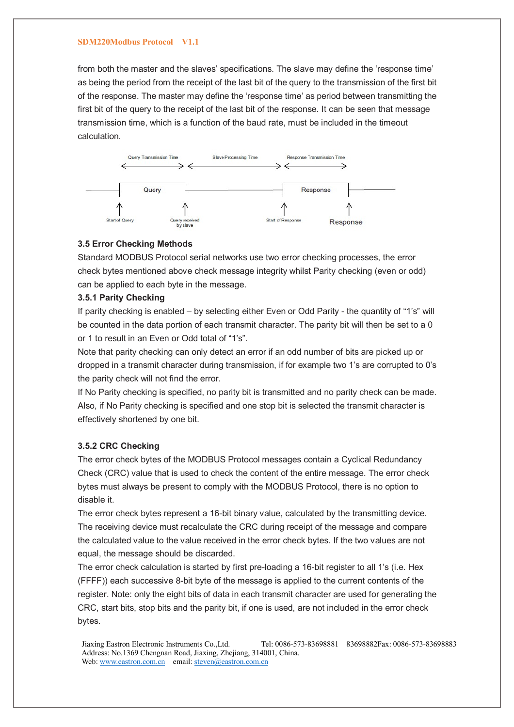from both the master and the slaves' specifications. The slave may define the 'response time' as being the period from the receipt of the last bit of the query to the transmission of the first bit of the response. The master may define the 'response time' as period between transmitting the first bit of the query to the receipt of the last bit of the response. It can be seen that message transmission time, which is a function of the baud rate, must be included in the timeout calculation.



## **3.5 Error Checking Methods**

Standard MODBUS Protocol serial networks use two error checking processes, the error check bytes mentioned above check message integrity whilst Parity checking (even or odd) can be applied to each byte in the message.

### **3.5.1 Parity Checking**

If parity checking is enabled – by selecting either Even or Odd Parity - the quantity of "1's" will be counted in the data portion of each transmit character. The parity bit will then be set to a 0 or 1 to result in an Even or Odd total of "1's".

Note that parity checking can only detect an error if an odd number of bits are picked up or dropped in a transmit character during transmission, if for example two 1's are corrupted to 0's the parity check will not find the error.

If No Parity checking is specified, no parity bit is transmitted and no parity check can be made. Also, if No Parity checking is specified and one stop bit is selected the transmit character is effectively shortened by one bit.

### **3.5.2 CRC Checking**

The error check bytes of the MODBUS Protocol messages contain a Cyclical Redundancy Check (CRC) value that is used to check the content of the entire message. The error check bytes must always be present to comply with the MODBUS Protocol, there is no option to disable it.

The error check bytes represent a 16-bit binary value, calculated by the transmitting device. The receiving device must recalculate the CRC during receipt of the message and compare the calculated value to the value received in the error check bytes. If the two values are not equal, the message should be discarded.

The error check calculation is started by first pre-loading a 16-bit register to all 1's (i.e. Hex (FFFF)) each successive 8-bit byte of the message is applied to the current contents of the register. Note: only the eight bits of data in each transmit character are used for generating the CRC, start bits, stop bits and the parity bit, if one is used, are not included in the error check bytes.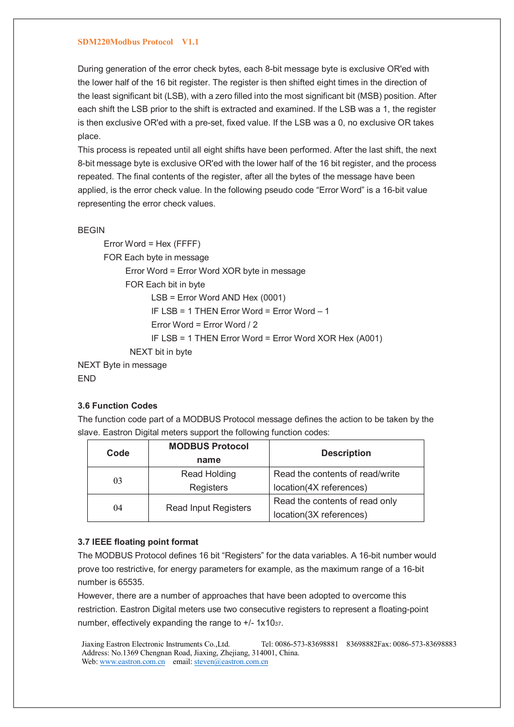During generation of the error check bytes, each 8-bit message byte is exclusive OR'ed with the lower half of the 16 bit register. The register is then shifted eight times in the direction of the least significant bit (LSB), with a zero filled into the most significant bit (MSB) position. After each shift the LSB prior to the shift is extracted and examined. If the LSB was a 1, the register is then exclusive OR'ed with a pre-set, fixed value. If the LSB was a 0, no exclusive OR takes place.

This process is repeated until all eight shifts have been performed. After the last shift, the next 8-bit message byte is exclusive OR'ed with the lower half of the 16 bit register, and the process repeated. The final contents of the register, after all the bytes of the message have been applied, is the error check value. In the following pseudo code "Error Word" is a 16-bit value representing the error check values.

```
BEGIN
```
 Error Word = Hex (FFFF) FOR Each byte in message Error Word = Error Word XOR byte in message FOR Each bit in byte LSB = Error Word AND Hex (0001) IF LSB = 1 THEN Error Word = Error Word – 1 Error Word = Error Word / 2 IF LSB = 1 THEN Error Word = Error Word XOR Hex (A001) NEXT bit in byte NEXT Byte in message

## **3.6 Function Codes**

END

The function code part of a MODBUS Protocol message defines the action to be taken by the slave. Eastron Digital meters support the following function codes:

|  | Code | <b>MODBUS Protocol</b><br>name | <b>Description</b>              |  |  |
|--|------|--------------------------------|---------------------------------|--|--|
|  | 03   | Read Holding                   | Read the contents of read/write |  |  |
|  |      | Registers                      | location(4X references)         |  |  |
|  | 04   |                                | Read the contents of read only  |  |  |
|  |      | <b>Read Input Registers</b>    | location(3X references)         |  |  |

## **3.7 IEEE floating point format**

The MODBUS Protocol defines 16 bit "Registers" for the data variables. A 16-bit number would prove too restrictive, for energy parameters for example, as the maximum range of a 16-bit number is 65535.

However, there are a number of approaches that have been adopted to overcome this restriction. Eastron Digital meters use two consecutive registers to represent a floating-point number, effectively expanding the range to +/- 1x1037.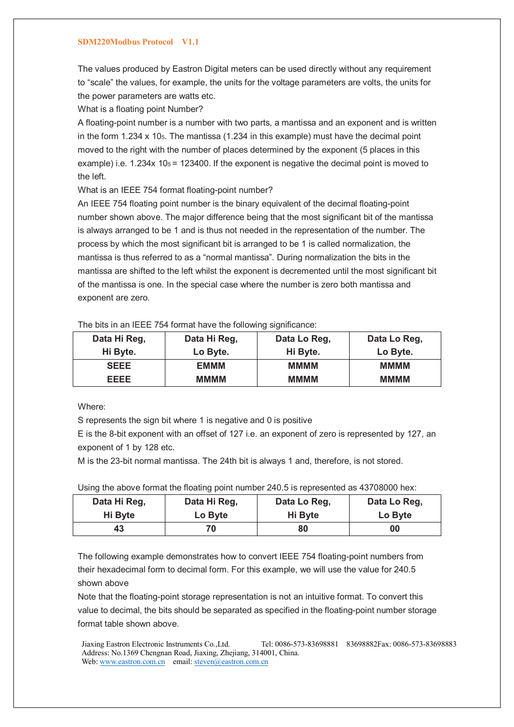The values produced by Eastron Digital meters can be used directly without any requirement to "scale" the values, for example, the units for the voltage parameters are volts, the units for the power parameters are watts etc.

What is a floating point Number?

A floating-point number is a number with two parts, a mantissa and an exponent and is written in the form 1.234 x 105. The mantissa (1.234 in this example) must have the decimal point moved to the right with the number of places determined by the exponent (5 places in this example) i.e.  $1.234x$  10 $s$  = 123400. If the exponent is negative the decimal point is moved to the left.

What is an IEEE 754 format floating-point number?

An IEEE 754 floating point number is the binary equivalent of the decimal floating-point number shown above. The major difference being that the most significant bit of the mantissa is always arranged to be 1 and is thus not needed in the representation of the number. The process by which the most significant bit is arranged to be 1 is called normalization, the mantissa is thus referred to as a "normal mantissa". During normalization the bits in the mantissa are shifted to the left whilst the exponent is decremented until the most significant bit of the mantissa is one. In the special case where the number is zero both mantissa and exponent are zero.

| Data Hi Reg, | Data Hi Reg, | Data Lo Reg, | Data Lo Reg, |
|--------------|--------------|--------------|--------------|
| Hi Byte.     | Lo Byte.     | Hi Byte.     | Lo Byte.     |
| <b>SEEE</b>  | EMMM         | <b>MMMM</b>  | мммм         |
| EEEE         | <b>MMMM</b>  | <b>MMMM</b>  | мммм         |

The bits in an IEEE 754 format have the following significance:

Where:

S represents the sign bit where 1 is negative and 0 is positive

E is the 8-bit exponent with an offset of 127 i.e. an exponent of zero is represented by 127, an exponent of 1 by 128 etc.

M is the 23-bit normal mantissa. The 24th bit is always 1 and, therefore, is not stored.

|  | Using the above format the floating point number 240.5 is represented as 43708000 hex: |  |  |
|--|----------------------------------------------------------------------------------------|--|--|
|--|----------------------------------------------------------------------------------------|--|--|

| Data Hi Reg, | Data Hi Reg, | Data Lo Reg. | Data Lo Reg, |
|--------------|--------------|--------------|--------------|
| Hi Byte      | Lo Byte      | Hi Byte      | Lo Byte      |
| 43           | 70           | 80           | 00           |

The following example demonstrates how to convert IEEE 754 floating-point numbers from their hexadecimal form to decimal form. For this example, we will use the value for 240.5 shown above

Note that the floating-point storage representation is not an intuitive format. To convert this value to decimal, the bits should be separated as specified in the floating-point number storage format table shown above.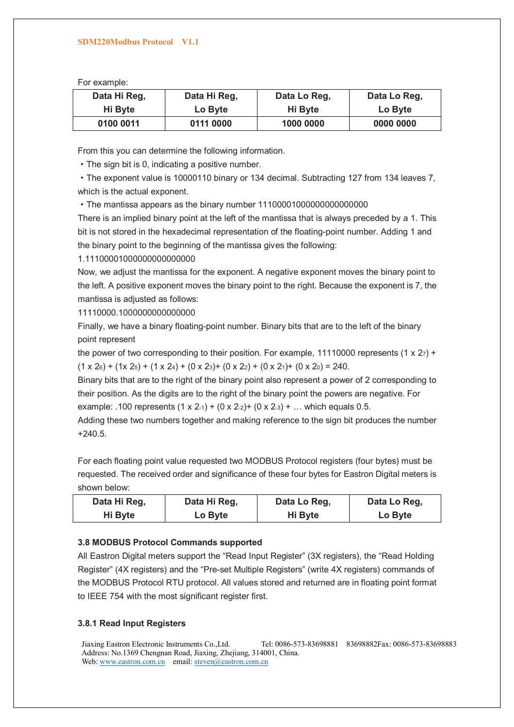For example:

| Data Hi Reg, | Data Hi Reg, | Data Lo Reg. | Data Lo Reg, |
|--------------|--------------|--------------|--------------|
| Hi Byte      | Lo Byte      | Hi Byte      | Lo Byte      |
| 0100 0011    | 0111 0000    | 1000 0000    | 0000 0000    |

From this you can determine the following information.

·The sign bit is 0, indicating a positive number.

·The exponent value is 10000110 binary or 134 decimal. Subtracting 127 from 134 leaves 7, which is the actual exponent.

·The mantissa appears as the binary number 11100001000000000000000

There is an implied binary point at the left of the mantissa that is always preceded by a 1. This bit is not stored in the hexadecimal representation of the floating-point number. Adding 1 and the binary point to the beginning of the mantissa gives the following:

1.11100001000000000000000

Now, we adjust the mantissa for the exponent. A negative exponent moves the binary point to the left. A positive exponent moves the binary point to the right. Because the exponent is 7, the mantissa is adjusted as follows:

11110000.1000000000000000

Finally, we have a binary floating-point number. Binary bits that are to the left of the binary point represent

the power of two corresponding to their position. For example, 11110000 represents (1 x  $27$ ) +  $(1 \times 26) + (1 \times 25) + (1 \times 24) + (0 \times 23) + (0 \times 22) + (0 \times 21) + (0 \times 20) = 240.$ 

Binary bits that are to the right of the binary point also represent a power of 2 corresponding to their position. As the digits are to the right of the binary point the powers are negative. For example: .100 represents  $(1 \times 2.1) + (0 \times 2.2) + (0 \times 2.3) + ...$  which equals 0.5.

Adding these two numbers together and making reference to the sign bit produces the number +240.5.

For each floating point value requested two MODBUS Protocol registers (four bytes) must be requested. The received order and significance of these four bytes for Eastron Digital meters is shown below:

| Data Hi Reg. | Data Hi Reg, | Data Lo Reg. | Data Lo Reg. |
|--------------|--------------|--------------|--------------|
| Hi Byte      | Lo Byte      | Hi Byte      | Lo Byte      |

## **3.8 MODBUS Protocol Commands supported**

All Eastron Digital meters support the "Read Input Register" (3X registers), the "Read Holding Register" (4X registers) and the "Pre-set Multiple Registers" (write 4X registers) commands of the MODBUS Protocol RTU protocol. All values stored and returned are in floating point format to IEEE 754 with the most significant register first.

## **3.8.1 Read Input Registers**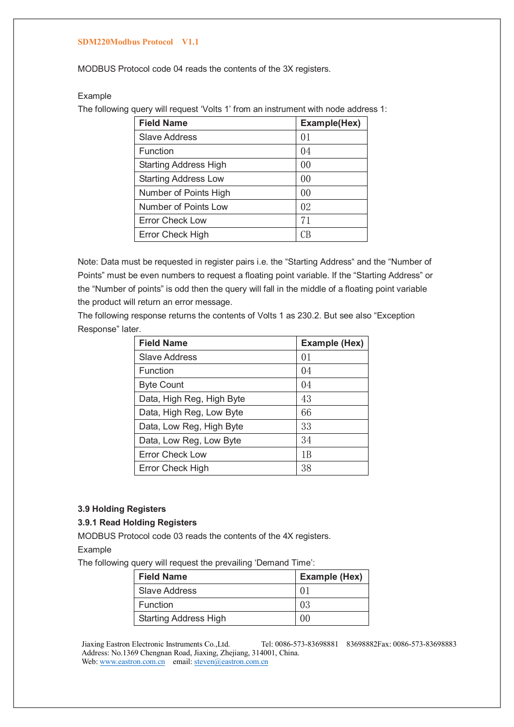MODBUS Protocol code 04 reads the contents of the 3X registers.

## Example

The following query will request 'Volts 1' from an instrument with node address 1:

| <b>Field Name</b>            | Example(Hex) |
|------------------------------|--------------|
| <b>Slave Address</b>         | 01           |
| Function                     | 04           |
| <b>Starting Address High</b> | 00           |
| <b>Starting Address Low</b>  | 00           |
| Number of Points High        | 00           |
| Number of Points Low         | 02           |
| <b>Error Check Low</b>       | 71           |
| Error Check High             | CΒ           |

Note: Data must be requested in register pairs i.e. the "Starting Address" and the "Number of Points" must be even numbers to request a floating point variable. If the "Starting Address" or the "Number of points" is odd then the query will fall in the middle of a floating point variable the product will return an error message.

The following response returns the contents of Volts 1 as 230.2. But see also "Exception Response" later.

| <b>Field Name</b>         | Example (Hex) |
|---------------------------|---------------|
| <b>Slave Address</b>      | 01            |
| Function                  | 04            |
| <b>Byte Count</b>         | 04            |
| Data, High Reg, High Byte | 43            |
| Data, High Reg, Low Byte  | 66            |
| Data, Low Reg, High Byte  | 33            |
| Data, Low Reg, Low Byte   | 34            |
| <b>Error Check Low</b>    | 1 B           |
| <b>Error Check High</b>   | 38            |

### **3.9 Holding Registers**

### **3.9.1 Read Holding Registers**

MODBUS Protocol code 03 reads the contents of the 4X registers. Example

The following query will request the prevailing 'Demand Time':

| <b>Field Name</b>            | <b>Example (Hex)</b> |
|------------------------------|----------------------|
| Slave Address                | $\Omega$             |
| Function                     | -03                  |
| <b>Starting Address High</b> |                      |

Jiaxing Eastron Electronic Instruments Co.,Ltd. Tel: 0086-573-83698881 83698882Fax: 0086-573-83698883 Address: No.1369 Chengnan Road, Jiaxing, Zhejiang, 314001, China.

Web: www.eastron.com.cn email: steven@eastron.com.cn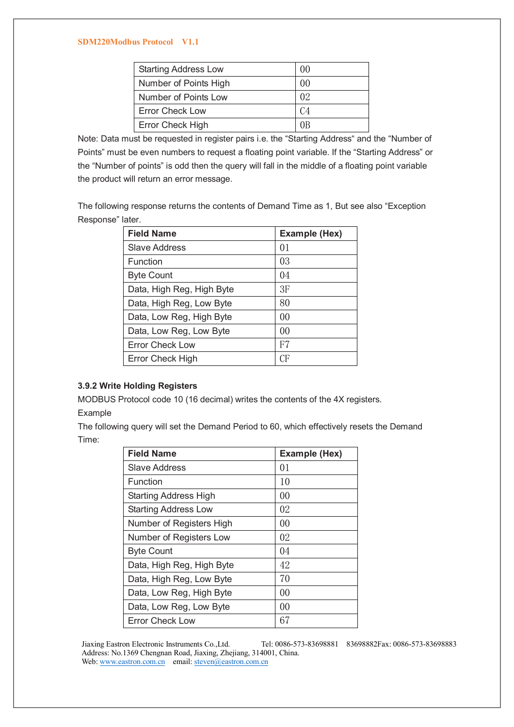| <b>Starting Address Low</b> | 00             |
|-----------------------------|----------------|
| Number of Points High       | 00             |
| Number of Points Low        | 0 <sup>2</sup> |
| <b>Error Check Low</b>      | C <sub>4</sub> |
| Error Check High            | ΩB             |

Note: Data must be requested in register pairs i.e. the "Starting Address" and the "Number of Points" must be even numbers to request a floating point variable. If the "Starting Address" or the "Number of points" is odd then the query will fall in the middle of a floating point variable the product will return an error message.

The following response returns the contents of Demand Time as 1, But see also "Exception Response" later.

| <b>Field Name</b>         | <b>Example (Hex)</b> |
|---------------------------|----------------------|
| <b>Slave Address</b>      | 0 <sub>1</sub>       |
| Function                  | 03                   |
| <b>Byte Count</b>         | 04                   |
| Data, High Reg, High Byte | 3F                   |
| Data, High Reg, Low Byte  | 80                   |
| Data, Low Reg, High Byte  | 00                   |
| Data, Low Reg, Low Byte   | 0 <sup>0</sup>       |
| <b>Error Check Low</b>    | F7                   |
| Error Check High          | CF                   |

### **3.9.2 Write Holding Registers**

MODBUS Protocol code 10 (16 decimal) writes the contents of the 4X registers.

# Example

The following query will set the Demand Period to 60, which effectively resets the Demand Time:

| <b>Field Name</b>            | <b>Example (Hex)</b> |
|------------------------------|----------------------|
| <b>Slave Address</b>         | 01                   |
| Function                     | 10                   |
| <b>Starting Address High</b> | 00                   |
| <b>Starting Address Low</b>  | 02                   |
| Number of Registers High     | 00                   |
| Number of Registers Low      | 02                   |
| <b>Byte Count</b>            | 04                   |
| Data, High Reg, High Byte    | 42                   |
| Data, High Reg, Low Byte     | 70                   |
| Data, Low Reg, High Byte     | 00                   |
| Data, Low Reg, Low Byte      | 00                   |
| <b>Error Check Low</b>       | 67                   |